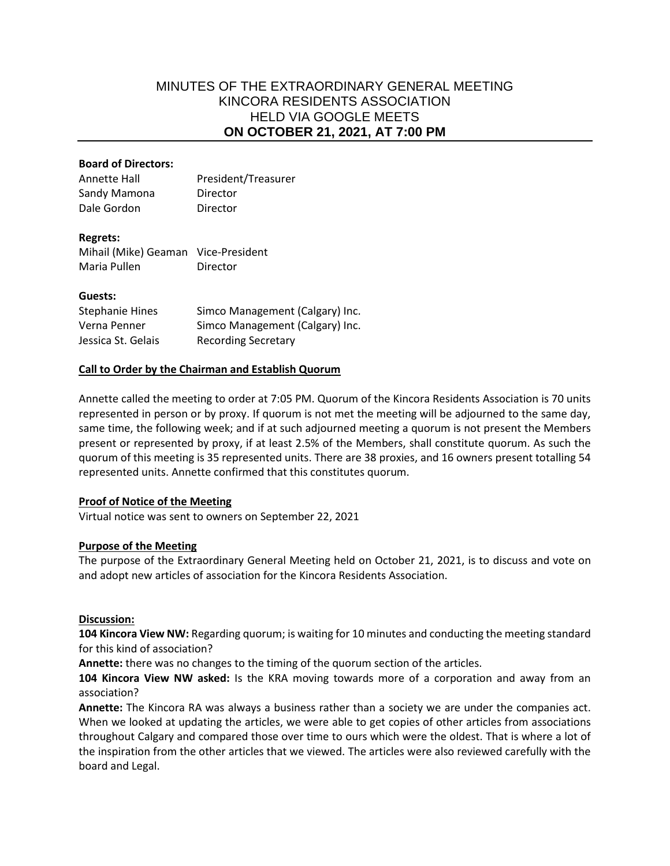# MINUTES OF THE EXTRAORDINARY GENERAL MEETING KINCORA RESIDENTS ASSOCIATION HELD VIA GOOGLE MEETS **ON OCTOBER 21, 2021, AT 7:00 PM**

### **Board of Directors:**

Annette Hall President/Treasurer Sandy Mamona Director Dale Gordon Director

#### **Regrets:**

Mihail (Mike) Geaman Vice-President Maria Pullen **Director** 

#### **Guests:**

| <b>Stephanie Hines</b> | Simco Management (Calgary) Inc. |
|------------------------|---------------------------------|
| Verna Penner           | Simco Management (Calgary) Inc. |
| Jessica St. Gelais     | <b>Recording Secretary</b>      |

#### **Call to Order by the Chairman and Establish Quorum**

Annette called the meeting to order at 7:05 PM. Quorum of the Kincora Residents Association is 70 units represented in person or by proxy. If quorum is not met the meeting will be adjourned to the same day, same time, the following week; and if at such adjourned meeting a quorum is not present the Members present or represented by proxy, if at least 2.5% of the Members, shall constitute quorum. As such the quorum of this meeting is 35 represented units. There are 38 proxies, and 16 owners present totalling 54 represented units. Annette confirmed that this constitutes quorum.

## **Proof of Notice of the Meeting**

Virtual notice was sent to owners on September 22, 2021

## **Purpose of the Meeting**

The purpose of the Extraordinary General Meeting held on October 21, 2021, is to discuss and vote on and adopt new articles of association for the Kincora Residents Association.

## **Discussion:**

**104 Kincora View NW:** Regarding quorum; is waiting for 10 minutes and conducting the meeting standard for this kind of association?

**Annette:** there was no changes to the timing of the quorum section of the articles.

**104 Kincora View NW asked:** Is the KRA moving towards more of a corporation and away from an association?

**Annette:** The Kincora RA was always a business rather than a society we are under the companies act. When we looked at updating the articles, we were able to get copies of other articles from associations throughout Calgary and compared those over time to ours which were the oldest. That is where a lot of the inspiration from the other articles that we viewed. The articles were also reviewed carefully with the board and Legal.